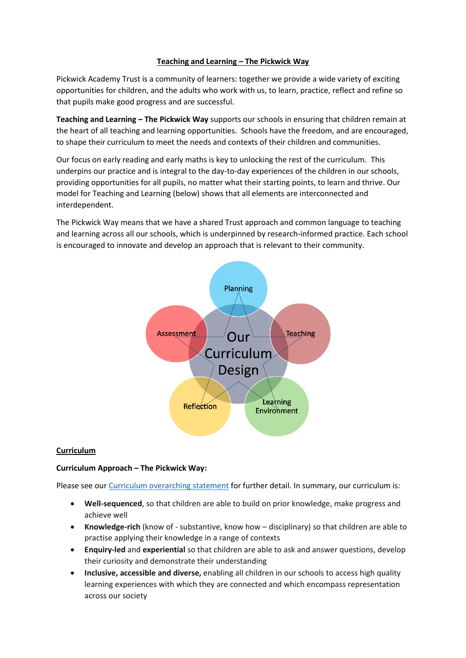### **Teaching and Learning – The Pickwick Way**

Pickwick Academy Trust is a community of learners: together we provide a wide variety of exciting opportunities for children, and the adults who work with us, to learn, practice, reflect and refine so that pupils make good progress and are successful.

**Teaching and Learning – The Pickwick Way** supports our schools in ensuring that children remain at the heart of all teaching and learning opportunities. Schools have the freedom, and are encouraged, to shape their curriculum to meet the needs and contexts of their children and communities.

Our focus on early reading and early maths is key to unlocking the rest of the curriculum. This underpins our practice and is integral to the day-to-day experiences of the children in our schools, providing opportunities for all pupils, no matter what their starting points, to learn and thrive. Our model for Teaching and Learning (below) shows that all elements are interconnected and interdependent.

The Pickwick Way means that we have a shared Trust approach and common language to teaching and learning across all our schools, which is underpinned by research-informed practice. Each school is encouraged to innovate and develop an approach that is relevant to their community.



## **Curriculum**

### **Curriculum Approach – The Pickwick Way:**

Please see our [Curriculum overarching statement](https://www.pickwickacademytrust.co.uk/media/1283/p-policies-and-overarching-statements-trust-overarching-statements-trust-overarching-curriculum-statement-reviewed-september-2020.pdf) for further detail. In summary, our curriculum is:

- **Well-sequenced**, so that children are able to build on prior knowledge, make progress and achieve well
- **Knowledge-rich** (know of substantive, know how disciplinary) so that children are able to practise applying their knowledge in a range of contexts
- **Enquiry-led** and **experiential** so that children are able to ask and answer questions, develop their curiosity and demonstrate their understanding
- **Inclusive, accessible and diverse,** enabling all children in our schools to access high quality learning experiences with which they are connected and which encompass representation across our society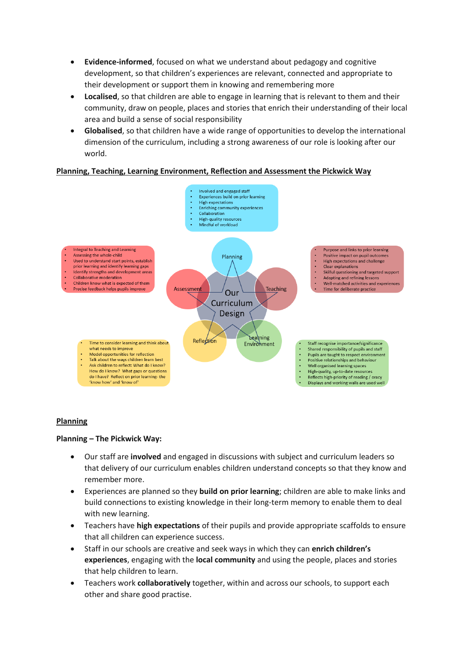- **Evidence-informed**, focused on what we understand about pedagogy and cognitive development, so that children's experiences are relevant, connected and appropriate to their development or support them in knowing and remembering more
- **Localised**, so that children are able to engage in learning that is relevant to them and their community, draw on people, places and stories that enrich their understanding of their local area and build a sense of social responsibility
- **Globalised**, so that children have a wide range of opportunities to develop the international dimension of the curriculum, including a strong awareness of our role is looking after our world.

### **Planning, Teaching, Learning Environment, Reflection and Assessment the Pickwick Way**



### **Planning**

### **Planning – The Pickwick Way:**

- Our staff are **involved** and engaged in discussions with subject and curriculum leaders so that delivery of our curriculum enables children understand concepts so that they know and remember more.
- Experiences are planned so they **build on prior learning**; children are able to make links and build connections to existing knowledge in their long-term memory to enable them to deal with new learning.
- Teachers have **high expectations** of their pupils and provide appropriate scaffolds to ensure that all children can experience success.
- Staff in our schools are creative and seek ways in which they can **enrich children's experiences**, engaging with the **local community** and using the people, places and stories that help children to learn.
- Teachers work **collaboratively** together, within and across our schools, to support each other and share good practise.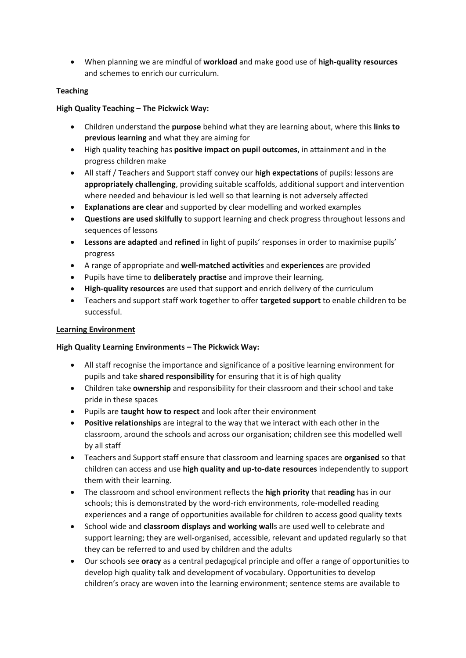• When planning we are mindful of **workload** and make good use of **high-quality resources** and schemes to enrich our curriculum.

## **Teaching**

# **High Quality Teaching – The Pickwick Way:**

- Children understand the **purpose** behind what they are learning about, where this **links to previous learning** and what they are aiming for
- High quality teaching has **positive impact on pupil outcomes**, in attainment and in the progress children make
- All staff / Teachers and Support staff convey our **high expectations** of pupils: lessons are **appropriately challenging**, providing suitable scaffolds, additional support and intervention where needed and behaviour is led well so that learning is not adversely affected
- **Explanations are clear** and supported by clear modelling and worked examples
- **Questions are used skilfully** to support learning and check progress throughout lessons and sequences of lessons
- **Lessons are adapted** and **refined** in light of pupils' responses in order to maximise pupils' progress
- A range of appropriate and **well-matched activities** and **experiences** are provided
- Pupils have time to **deliberately practise** and improve their learning.
- **High-quality resources** are used that support and enrich delivery of the curriculum
- Teachers and support staff work together to offer **targeted support** to enable children to be successful.

### **Learning Environment**

## **High Quality Learning Environments – The Pickwick Way:**

- All staff recognise the importance and significance of a positive learning environment for pupils and take **shared responsibility** for ensuring that it is of high quality
- Children take **ownership** and responsibility for their classroom and their school and take pride in these spaces
- Pupils are **taught how to respect** and look after their environment
- **Positive relationships** are integral to the way that we interact with each other in the classroom, around the schools and across our organisation; children see this modelled well by all staff
- Teachers and Support staff ensure that classroom and learning spaces are **organised** so that children can access and use **high quality and up-to-date resources** independently to support them with their learning.
- The classroom and school environment reflects the **high priority** that **reading** has in our schools; this is demonstrated by the word-rich environments, role-modelled reading experiences and a range of opportunities available for children to access good quality texts
- School wide and **classroom displays and working wall**s are used well to celebrate and support learning; they are well-organised, accessible, relevant and updated regularly so that they can be referred to and used by children and the adults
- Our schools see **oracy** as a central pedagogical principle and offer a range of opportunities to develop high quality talk and development of vocabulary. Opportunities to develop children's oracy are woven into the learning environment; sentence stems are available to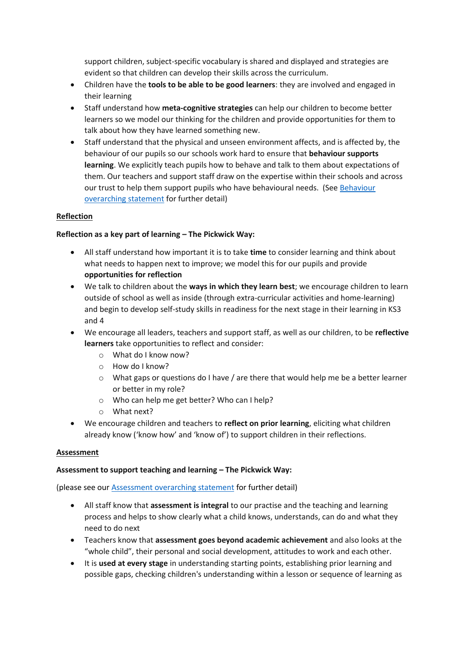support children, subject-specific vocabulary is shared and displayed and strategies are evident so that children can develop their skills across the curriculum.

- Children have the **tools to be able to be good learners**: they are involved and engaged in their learning
- Staff understand how **meta-cognitive strategies** can help our children to become better learners so we model our thinking for the children and provide opportunities for them to talk about how they have learned something new.
- Staff understand that the physical and unseen environment affects, and is affected by, the behaviour of our pupils so our schools work hard to ensure that **behaviour supports learning**. We explicitly teach pupils how to behave and talk to them about expectations of them. Our teachers and support staff draw on the expertise within their schools and across our trust to help them support pupils who have behavioural needs. (See [Behaviour](https://www.pickwickacademytrust.co.uk/media/1432/trust-overarching-statement-of-behaviour-principles-sept-2021.pdf)  [overarching statement](https://www.pickwickacademytrust.co.uk/media/1432/trust-overarching-statement-of-behaviour-principles-sept-2021.pdf) for further detail)

## **Reflection**

## **Reflection as a key part of learning – The Pickwick Way:**

- All staff understand how important it is to take **time** to consider learning and think about what needs to happen next to improve; we model this for our pupils and provide **opportunities for reflection**
- We talk to children about the **ways in which they learn best**; we encourage children to learn outside of school as well as inside (through extra-curricular activities and home-learning) and begin to develop self-study skills in readiness for the next stage in their learning in KS3 and 4
- We encourage all leaders, teachers and support staff, as well as our children, to be **reflective learners** take opportunities to reflect and consider:
	- o What do I know now?
	- o How do I know?
	- o What gaps or questions do I have / are there that would help me be a better learner or better in my role?
	- o Who can help me get better? Who can I help?
	- o What next?
- We encourage children and teachers to **reflect on prior learning**, eliciting what children already know ('know how' and 'know of') to support children in their reflections.

## **Assessment**

## **Assessment to support teaching and learning – The Pickwick Way:**

(please see our [Assessment overarching statement](https://www.pickwickacademytrust.co.uk/media/1433/pickwick-overarching-statement-for-assessment.pdf) for further detail)

- All staff know that **assessment is integral** to our practise and the teaching and learning process and helps to show clearly what a child knows, understands, can do and what they need to do next
- Teachers know that **assessment goes beyond academic achievement** and also looks at the "whole child", their personal and social development, attitudes to work and each other.
- It is **used at every stage** in understanding starting points, establishing prior learning and possible gaps, checking children's understanding within a lesson or sequence of learning as